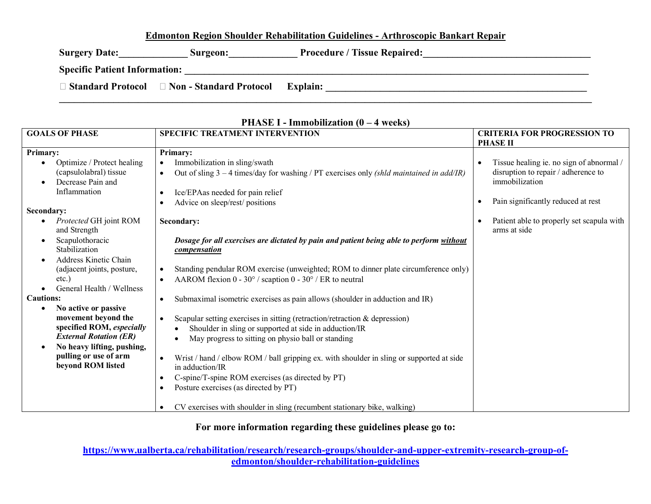## **Edmonton Region Shoulder Rehabilitation Guidelines - Arthroscopic Bankart Repair**

Surgery Date:\_\_\_\_\_\_\_\_\_\_\_\_\_\_\_\_ Surgeon:\_\_\_\_\_\_\_\_\_\_\_\_\_\_\_Procedure / Tissue Repaired:\_\_\_\_\_\_\_\_\_\_\_\_\_\_\_\_\_\_\_\_\_\_\_\_\_\_\_\_\_ **Specific Patient Information: \_\_\_\_\_\_\_\_\_\_\_\_\_\_\_\_\_\_\_\_\_\_\_\_\_\_\_\_\_\_\_\_\_\_\_\_\_\_\_\_\_\_\_\_\_\_\_\_\_\_\_\_\_\_\_\_\_\_\_\_\_\_\_\_\_\_\_\_\_\_\_\_\_\_\_\_\_\_\_\_\_\_ Standard Protocol Non - Standard Protocol Explain: \_\_\_\_\_\_\_\_\_\_\_\_\_\_\_\_\_\_\_\_\_\_\_\_\_\_\_\_\_\_\_\_\_\_\_\_\_\_\_\_\_\_\_\_\_\_\_\_\_\_\_\_\_**  $\mathcal{L}_\mathcal{L} = \{ \mathcal{L}_\mathcal{L} = \{ \mathcal{L}_\mathcal{L} = \{ \mathcal{L}_\mathcal{L} = \{ \mathcal{L}_\mathcal{L} = \{ \mathcal{L}_\mathcal{L} = \{ \mathcal{L}_\mathcal{L} = \{ \mathcal{L}_\mathcal{L} = \{ \mathcal{L}_\mathcal{L} = \{ \mathcal{L}_\mathcal{L} = \{ \mathcal{L}_\mathcal{L} = \{ \mathcal{L}_\mathcal{L} = \{ \mathcal{L}_\mathcal{L} = \{ \mathcal{L}_\mathcal{L} = \{ \mathcal{L}_\mathcal{$ 

| <b>GOALS OF PHASE</b>                                                                                                                                                                                                                                                                                                                                                                                                                                                                                                 | <b>SPECIFIC TREATMENT INTERVENTION</b>                                                                                                                                                                                                                                                                                                                                                                                                                                                                                                                                                                                                                                                                                                                                                                                                                                                                                                                                                                                                                                                                    | <b>CRITERIA FOR PROGRESSION TO</b>                                                                                                                                                                                      |
|-----------------------------------------------------------------------------------------------------------------------------------------------------------------------------------------------------------------------------------------------------------------------------------------------------------------------------------------------------------------------------------------------------------------------------------------------------------------------------------------------------------------------|-----------------------------------------------------------------------------------------------------------------------------------------------------------------------------------------------------------------------------------------------------------------------------------------------------------------------------------------------------------------------------------------------------------------------------------------------------------------------------------------------------------------------------------------------------------------------------------------------------------------------------------------------------------------------------------------------------------------------------------------------------------------------------------------------------------------------------------------------------------------------------------------------------------------------------------------------------------------------------------------------------------------------------------------------------------------------------------------------------------|-------------------------------------------------------------------------------------------------------------------------------------------------------------------------------------------------------------------------|
| <b>Primary:</b><br>Optimize / Protect healing<br>(capsulolabral) tissue<br>Decrease Pain and<br>Inflammation<br>Secondary:<br>Protected GH joint ROM<br>and Strength<br>Scapulothoracic<br>Stabilization<br>Address Kinetic Chain<br>(adjacent joints, posture,<br>$etc.$ )<br>General Health / Wellness<br><b>Cautions:</b><br>No active or passive<br>movement beyond the<br>specified ROM, especially<br><b>External Rotation (ER)</b><br>No heavy lifting, pushing,<br>pulling or use of arm<br>beyond ROM listed | <b>Primary:</b><br>Immobilization in sling/swath<br>Out of sling $3 - 4$ times/day for washing / PT exercises only (shld maintained in add/IR)<br>$\bullet$<br>Ice/EPAas needed for pain relief<br>٠<br>Advice on sleep/rest/ positions<br>Secondary:<br>Dosage for all exercises are dictated by pain and patient being able to perform without<br>compensation<br>Standing pendular ROM exercise (unweighted; ROM to dinner plate circumference only)<br>AAROM flexion $0 - 30^{\circ}$ / scaption $0 - 30^{\circ}$ / ER to neutral<br>Submaximal isometric exercises as pain allows (shoulder in adduction and IR)<br>٠<br>Scapular setting exercises in sitting (retraction/retraction $\&$ depression)<br>$\bullet$<br>Shoulder in sling or supported at side in adduction/IR<br>May progress to sitting on physio ball or standing<br>$\bullet$<br>Wrist / hand / elbow ROM / ball gripping ex. with shoulder in sling or supported at side<br>$\bullet$<br>in adduction/IR<br>C-spine/T-spine ROM exercises (as directed by PT)<br>$\bullet$<br>Posture exercises (as directed by PT)<br>$\bullet$ | <b>PHASE II</b><br>Tissue healing ie. no sign of abnormal /<br>disruption to repair / adherence to<br>immobilization<br>Pain significantly reduced at rest<br>Patient able to properly set scapula with<br>arms at side |
|                                                                                                                                                                                                                                                                                                                                                                                                                                                                                                                       | CV exercises with shoulder in sling (recumbent stationary bike, walking)                                                                                                                                                                                                                                                                                                                                                                                                                                                                                                                                                                                                                                                                                                                                                                                                                                                                                                                                                                                                                                  |                                                                                                                                                                                                                         |

## **PHASE I - Immobilization (0 – 4 weeks)**

**For more information regarding these guidelines please go to:** 

**https://www.ualberta.ca/rehabilitation/research/research-groups/shoulder-and-upper-extremity-research-group-ofedmonton/shoulder-rehabilitation-guidelines**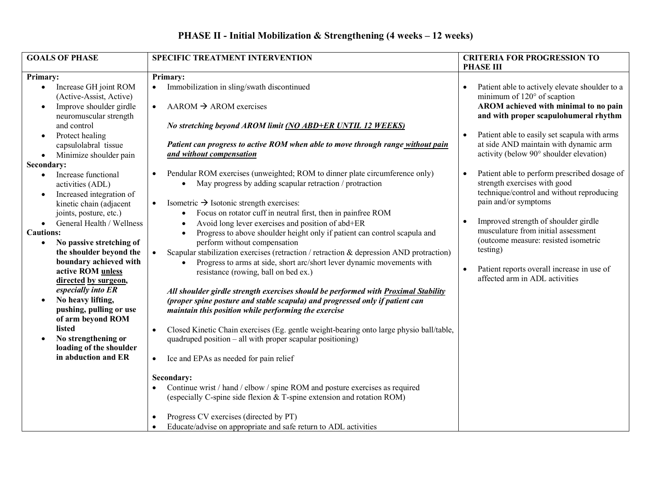## **PHASE II - Initial Mobilization & Strengthening (4 weeks – 12 weeks)**

| <b>GOALS OF PHASE</b>                                          | <b>SPECIFIC TREATMENT INTERVENTION</b>                                                                                                               | <b>CRITERIA FOR PROGRESSION TO</b><br><b>PHASE III</b>                                                                    |
|----------------------------------------------------------------|------------------------------------------------------------------------------------------------------------------------------------------------------|---------------------------------------------------------------------------------------------------------------------------|
| Primary:                                                       | Primary:                                                                                                                                             |                                                                                                                           |
| Increase GH joint ROM<br>$\bullet$<br>(Active-Assist, Active)  | Immobilization in sling/swath discontinued                                                                                                           | Patient able to actively elevate shoulder to a<br>minimum of $120^{\circ}$ of scaption                                    |
| Improve shoulder girdle<br>$\bullet$<br>neuromuscular strength | $AAROM \rightarrow AROM$ exercises<br>$\bullet$                                                                                                      | AROM achieved with minimal to no pain<br>and with proper scapulohumeral rhythm                                            |
| and control                                                    | No stretching beyond AROM limit (NO ABD+ER UNTIL 12 WEEKS)                                                                                           |                                                                                                                           |
| Protect healing<br>$\bullet$                                   |                                                                                                                                                      | Patient able to easily set scapula with arms                                                                              |
| capsulolabral tissue                                           | Patient can progress to active ROM when able to move through range without pain                                                                      | at side AND maintain with dynamic arm                                                                                     |
| Minimize shoulder pain<br>$\bullet$                            | and without compensation                                                                                                                             | activity (below 90° shoulder elevation)                                                                                   |
| Secondary:                                                     |                                                                                                                                                      |                                                                                                                           |
| Increase functional<br>activities (ADL)                        | Pendular ROM exercises (unweighted; ROM to dinner plate circumference only)<br>$\bullet$<br>May progress by adding scapular retraction / protraction | Patient able to perform prescribed dosage of<br>strength exercises with good<br>technique/control and without reproducing |
| Increased integration of<br>$\bullet$                          | Isometric $\rightarrow$ Isotonic strength exercises:                                                                                                 | pain and/or symptoms                                                                                                      |
| kinetic chain (adjacent<br>joints, posture, etc.)              | Focus on rotator cuff in neutral first, then in painfree ROM<br>$\bullet$                                                                            |                                                                                                                           |
| General Health / Wellness                                      | Avoid long lever exercises and position of abd+ER                                                                                                    | Improved strength of shoulder girdle                                                                                      |
| $\bullet$<br><b>Cautions:</b>                                  | $\bullet$                                                                                                                                            | musculature from initial assessment                                                                                       |
|                                                                | Progress to above shoulder height only if patient can control scapula and<br>$\bullet$                                                               | (outcome measure: resisted isometric                                                                                      |
| No passive stretching of                                       | perform without compensation                                                                                                                         | testing)                                                                                                                  |
| the shoulder beyond the                                        | Scapular stabilization exercises (retraction / retraction & depression AND protraction)                                                              |                                                                                                                           |
| boundary achieved with                                         | Progress to arms at side, short arc/short lever dynamic movements with<br>$\bullet$                                                                  | Patient reports overall increase in use of                                                                                |
| active ROM unless                                              | resistance (rowing, ball on bed ex.)                                                                                                                 | affected arm in ADL activities                                                                                            |
| directed by surgeon,                                           |                                                                                                                                                      |                                                                                                                           |
| especially into ER                                             | All shoulder girdle strength exercises should be performed with Proximal Stability                                                                   |                                                                                                                           |
| No heavy lifting,<br>$\bullet$                                 | (proper spine posture and stable scapula) and progressed only if patient can                                                                         |                                                                                                                           |
| pushing, pulling or use                                        | maintain this position while performing the exercise                                                                                                 |                                                                                                                           |
| of arm beyond ROM                                              |                                                                                                                                                      |                                                                                                                           |
| listed                                                         | Closed Kinetic Chain exercises (Eg. gentle weight-bearing onto large physio ball/table,<br>$\bullet$                                                 |                                                                                                                           |
| No strengthening or                                            | quadruped position – all with proper scapular positioning)                                                                                           |                                                                                                                           |
| loading of the shoulder<br>in abduction and ER                 |                                                                                                                                                      |                                                                                                                           |
|                                                                | Ice and EPAs as needed for pain relief<br>$\bullet$                                                                                                  |                                                                                                                           |
|                                                                |                                                                                                                                                      |                                                                                                                           |
|                                                                | Secondary:                                                                                                                                           |                                                                                                                           |
|                                                                | Continue wrist / hand / elbow / spine ROM and posture exercises as required                                                                          |                                                                                                                           |
|                                                                | (especially C-spine side flexion & T-spine extension and rotation ROM)                                                                               |                                                                                                                           |
|                                                                | Progress CV exercises (directed by PT)<br>$\bullet$                                                                                                  |                                                                                                                           |
|                                                                | Educate/advise on appropriate and safe return to ADL activities<br>$\bullet$                                                                         |                                                                                                                           |